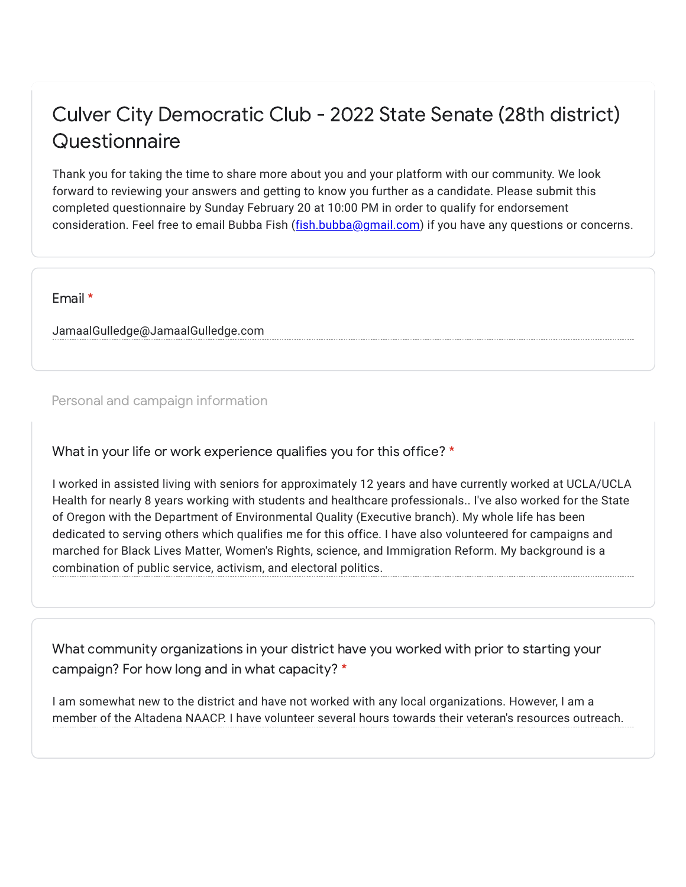## Culver City Democratic Club - 2022 State Senate (28th district) **Questionnaire**

Thank you for taking the time to share more about you and your platform with our community. We look forward to reviewing your answers and getting to know you further as a candidate. Please submit this completed questionnaire by Sunday February 20 at 10:00 PM in order to qualify for endorsement consideration. Feel free to email Bubba Fish (*fish.bubba@gmail.com*) if you have any questions or concerns.

Email \*

JamaalGulledge@JamaalGulledge.com

Personal and campaign information

What in your life or work experience qualifies you for this office? \*

I worked in assisted living with seniors for approximately 12 years and have currently worked at UCLA/UCLA Health for nearly 8 years working with students and healthcare professionals.. I've also worked for the State of Oregon with the Department of Environmental Quality (Executive branch). My whole life has been dedicated to serving others which qualifies me for this office. I have also volunteered for campaigns and marched for Black Lives Matter, Women's Rights, science, and Immigration Reform. My background is a combination of public service, activism, and electoral politics.

What community organizations in your district have you worked with prior to starting your campaign? For how long and in what capacity? \*

I am somewhat new to the district and have not worked with any local organizations. However, I am a member of the Altadena NAACP. I have volunteer several hours towards their veteran's resources outreach.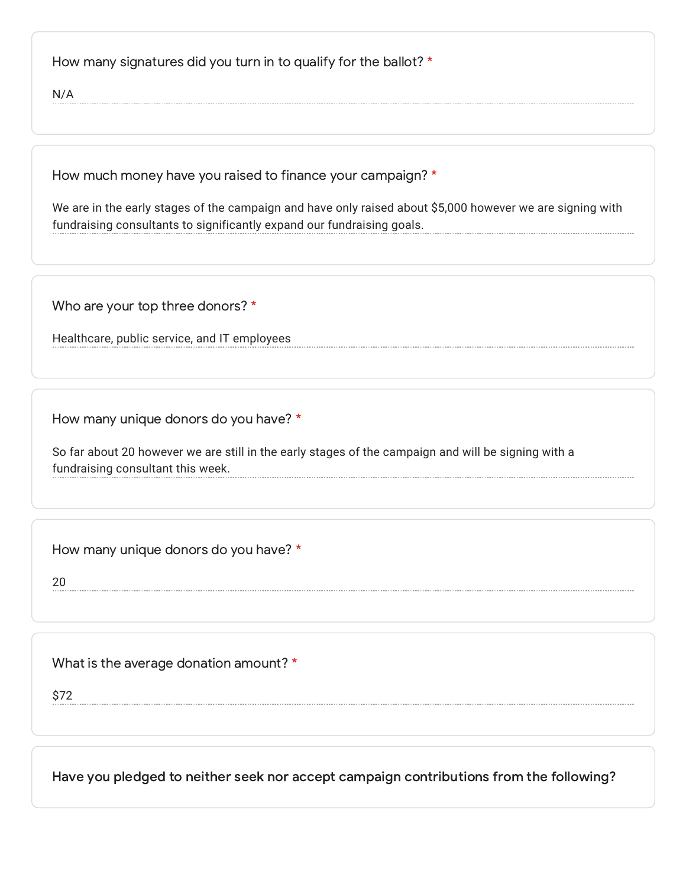How many signatures did you turn in to qualify for the ballot? \*

N/A

How much money have you raised to finance your campaign? \*

We are in the early stages of the campaign and have only raised about \$5,000 however we are signing with fundraising consultants to significantly expand our fundraising goals.

Who are your top three donors? \*

Healthcare, public service, and IT employees

How many unique donors do you have? \*

So far about 20 however we are still in the early stages of the campaign and will be signing with a fundraising consultant this week.

How many unique donors do you have? \*

20

What is the average donation amount? \*

\$72

Have you pledged to neither seek nor accept campaign contributions from the following?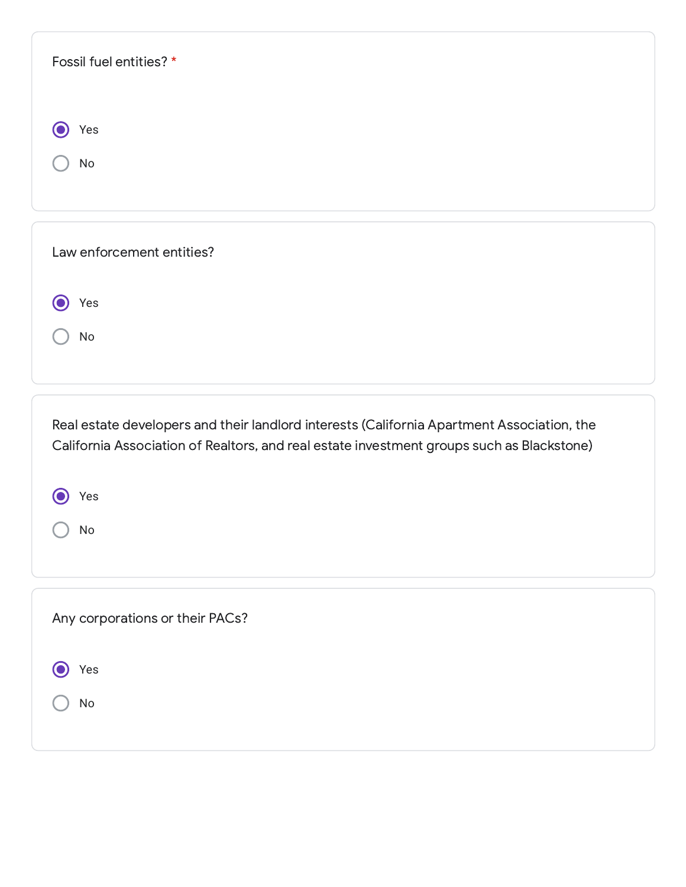| Fossil fuel entities? *                                                                                                                                                                 |
|-----------------------------------------------------------------------------------------------------------------------------------------------------------------------------------------|
|                                                                                                                                                                                         |
|                                                                                                                                                                                         |
| O<br>Yes                                                                                                                                                                                |
| No                                                                                                                                                                                      |
|                                                                                                                                                                                         |
|                                                                                                                                                                                         |
| Law enforcement entities?                                                                                                                                                               |
|                                                                                                                                                                                         |
| Yes<br>O                                                                                                                                                                                |
| No                                                                                                                                                                                      |
|                                                                                                                                                                                         |
|                                                                                                                                                                                         |
|                                                                                                                                                                                         |
| Real estate developers and their landlord interests (California Apartment Association, the<br>California Association of Realtors, and real estate investment groups such as Blackstone) |
|                                                                                                                                                                                         |
| Yes                                                                                                                                                                                     |
|                                                                                                                                                                                         |
|                                                                                                                                                                                         |
| No                                                                                                                                                                                      |
|                                                                                                                                                                                         |
|                                                                                                                                                                                         |
| Any corporations or their PACs?                                                                                                                                                         |
|                                                                                                                                                                                         |
| Yes                                                                                                                                                                                     |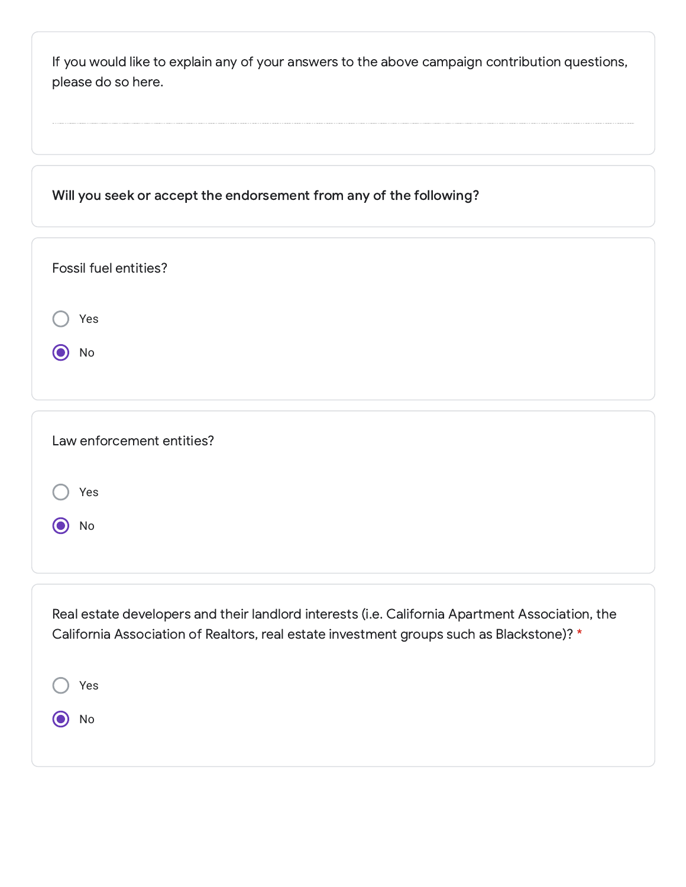| If you would like to explain any of your answers to the above campaign contribution questions,<br>please do so here. |  |
|----------------------------------------------------------------------------------------------------------------------|--|
| Will you seek or accept the endorsement from any of the following?                                                   |  |
| Fossil fuel entities?                                                                                                |  |
| Yes<br>No                                                                                                            |  |
|                                                                                                                      |  |
| Law enforcement entities?                                                                                            |  |
| Yes                                                                                                                  |  |

Real estate developers and their landlord interests (i.e. California Apartment Association, the California Association of Realtors, real estate investment groups such as Blackstone)? \*

O No

| $\bigcirc$ Yes |  |  |  |  |  |
|----------------|--|--|--|--|--|
| $\odot$ No     |  |  |  |  |  |
|                |  |  |  |  |  |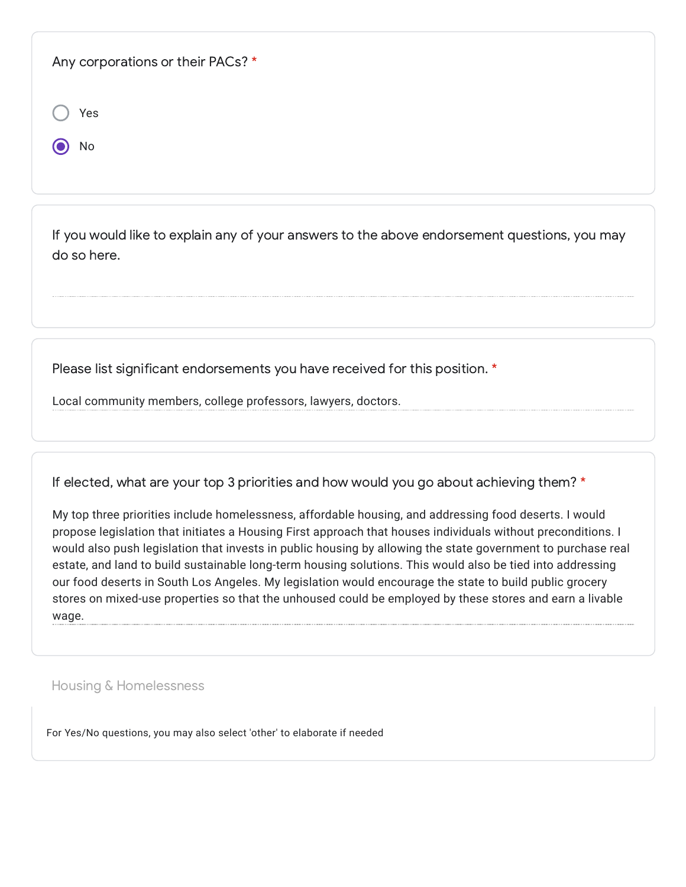| Any corporations or their PACs? * |  |  |
|-----------------------------------|--|--|
| Yes                               |  |  |
| No                                |  |  |
|                                   |  |  |

If you would like to explain any of your answers to the above endorsement questions, you may do so here.

Please list significant endorsements you have received for this position. \*

Local community members, college professors, lawyers, doctors.

If elected, what are your top 3 priorities and how would you go about achieving them? \*

My top three priorities include homelessness, affordable housing, and addressing food deserts. I would propose legislation that initiates a Housing First approach that houses individuals without preconditions. I would also push legislation that invests in public housing by allowing the state government to purchase real estate, and land to build sustainable long-term housing solutions. This would also be tied into addressing our food deserts in South Los Angeles. My legislation would encourage the state to build public grocery stores on mixed-use properties so that the unhoused could be employed by these stores and earn a livable wage.

Housing & Homelessness

For Yes/No questions, you may also select 'other' to elaborate if needed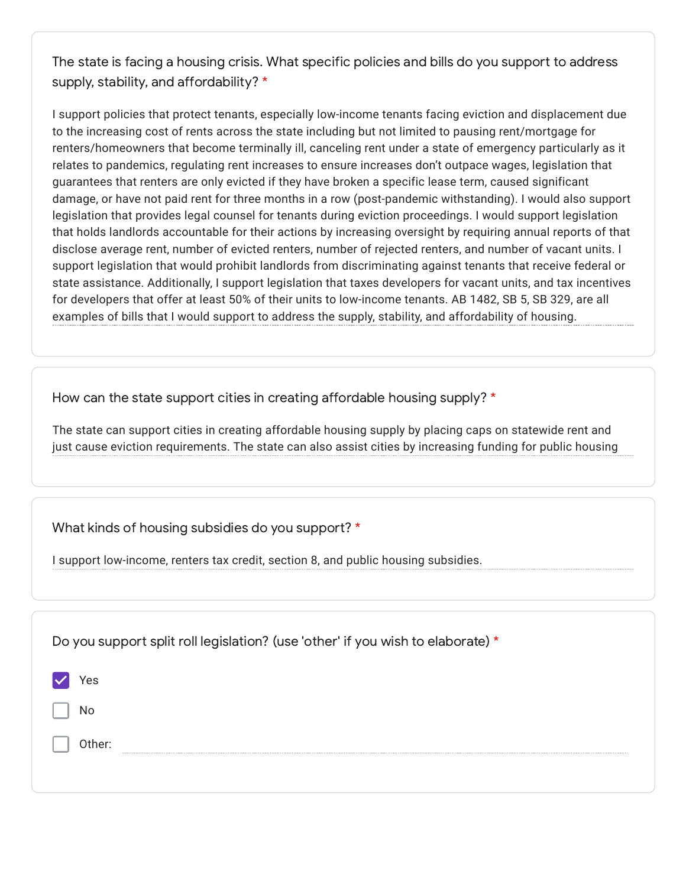The state is facing a housing crisis. What specific policies and bills do you support to address supply, stability, and affordability? \*

I support policies that protect tenants, especially low-income tenants facing eviction and displacement due to the increasing cost of rents across the state including but not limited to pausing rent/mortgage for renters/homeowners that become terminally ill, canceling rent under a state of emergency particularly as it relates to pandemics, regulating rent increases to ensure increases don't outpace wages, legislation that guarantees that renters are only evicted if they have broken a specific lease term, caused significant damage, or have not paid rent for three months in a row (post-pandemic withstanding). I would also support legislation that provides legal counsel for tenants during eviction proceedings. I would support legislation that holds landlords accountable for their actions by increasing oversight by requiring annual reports of that disclose average rent, number of evicted renters, number of rejected renters, and number of vacant units. I support legislation that would prohibit landlords from discriminating against tenants that receive federal or state assistance. Additionally, I support legislation that taxes developers for vacant units, and tax incentives for developers that offer at least 50% of their units to low-income tenants. AB 1482, SB 5, SB 329, are all examples of bills that I would support to address the supply, stability, and affordability of housing.

How can the state support cities in creating affordable housing supply? \*

The state can support cities in creating affordable housing supply by placing caps on statewide rent and just cause eviction requirements. The state can also assist cities by increasing funding for public housing

What kinds of housing subsidies do you support? \*

I support low-income, renters tax credit, section 8, and public housing subsidies.

| Do you support split roll legislation? (use 'other' if you wish to elaborate) * |
|---------------------------------------------------------------------------------|
| Yes                                                                             |
| No                                                                              |
| Other:                                                                          |
|                                                                                 |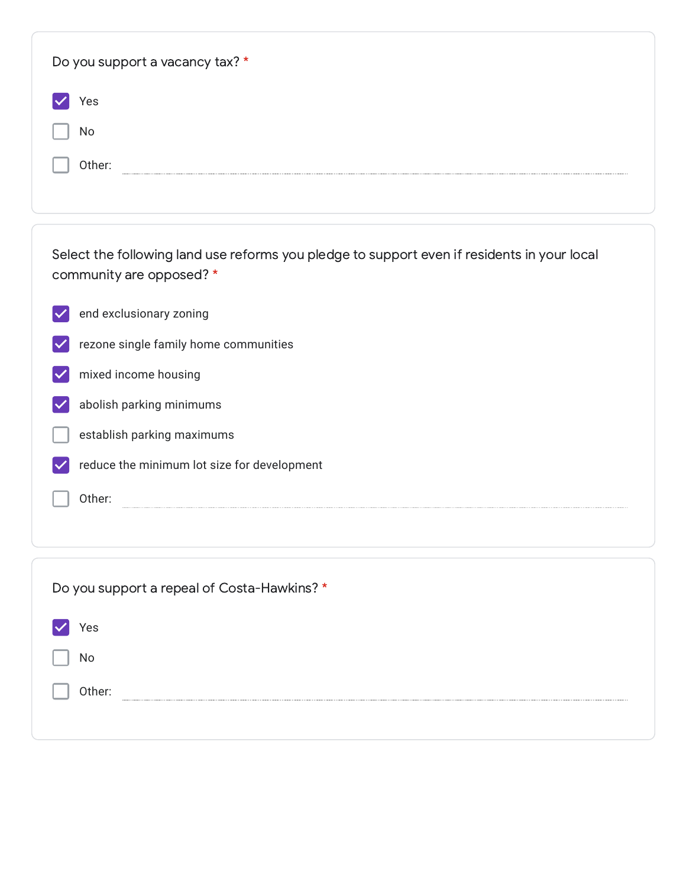| Do you support a vacancy tax? *                                                                                         |
|-------------------------------------------------------------------------------------------------------------------------|
| Yes                                                                                                                     |
| No                                                                                                                      |
| Other:                                                                                                                  |
|                                                                                                                         |
|                                                                                                                         |
| Select the following land use reforms you pledge to support even if residents in your local<br>community are opposed? * |
| end exclusionary zoning                                                                                                 |
| rezone single family home communities                                                                                   |
| mixed income housing                                                                                                    |
| abolish parking minimums                                                                                                |
| establish parking maximums                                                                                              |
| reduce the minimum lot size for development                                                                             |
| Other:                                                                                                                  |
|                                                                                                                         |

| Do you support a repeal of Costa-Hawkins? * |
|---------------------------------------------|
| Yes                                         |
| No                                          |
| Other:                                      |
|                                             |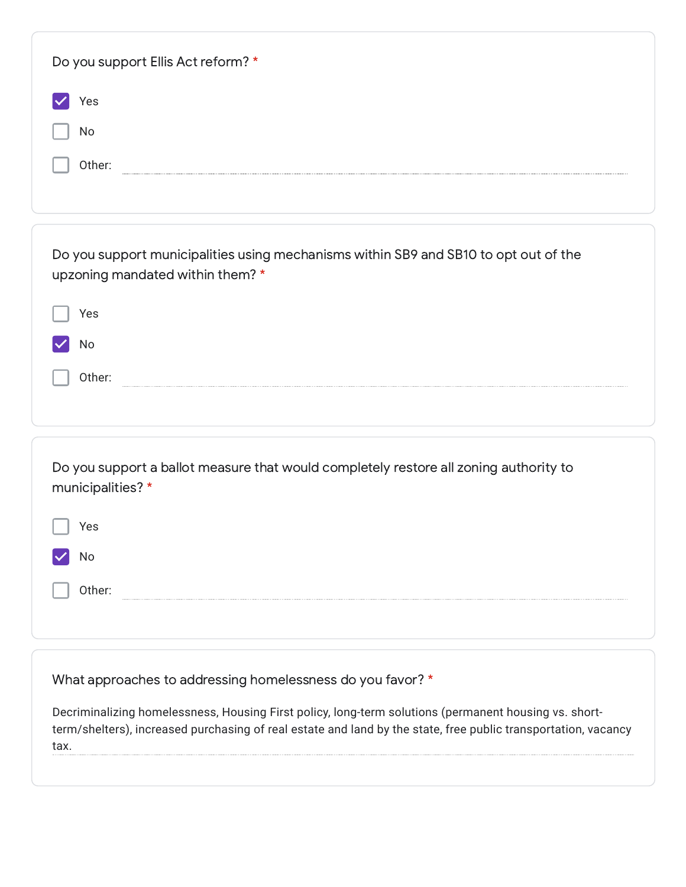| Do you support Ellis Act reform? *                                                                                                                                                                                              |
|---------------------------------------------------------------------------------------------------------------------------------------------------------------------------------------------------------------------------------|
| Yes                                                                                                                                                                                                                             |
| No                                                                                                                                                                                                                              |
| Other:                                                                                                                                                                                                                          |
|                                                                                                                                                                                                                                 |
| Do you support municipalities using mechanisms within SB9 and SB10 to opt out of the<br>upzoning mandated within them? *                                                                                                        |
| Yes                                                                                                                                                                                                                             |
| No                                                                                                                                                                                                                              |
| Other:                                                                                                                                                                                                                          |
|                                                                                                                                                                                                                                 |
| Do you support a ballot measure that would completely restore all zoning authority to<br>municipalities?*                                                                                                                       |
| Yes                                                                                                                                                                                                                             |
| No                                                                                                                                                                                                                              |
| Other:                                                                                                                                                                                                                          |
|                                                                                                                                                                                                                                 |
|                                                                                                                                                                                                                                 |
| What approaches to addressing homelessness do you favor? *                                                                                                                                                                      |
| Decriminalizing homelessness, Housing First policy, long-term solutions (permanent housing vs. short-<br>term/shelters), increased purchasing of real estate and land by the state, free public transportation, vacancy<br>tax. |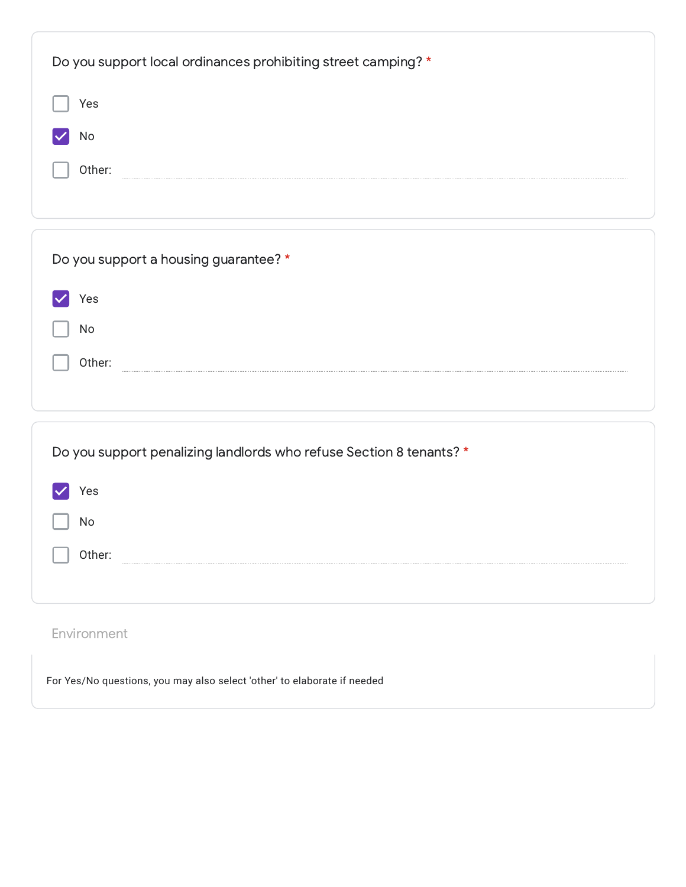| Do you support local ordinances prohibiting street camping? *       |
|---------------------------------------------------------------------|
| Yes                                                                 |
| No                                                                  |
| Other:                                                              |
|                                                                     |
| Do you support a housing guarantee? *                               |
| Yes                                                                 |
| No                                                                  |
| Other:                                                              |
|                                                                     |
| Do you support penalizing landlords who refuse Section 8 tenants? * |
| Yes                                                                 |
| No                                                                  |
| Other:                                                              |
|                                                                     |
| Environment                                                         |

For Yes/No questions, you may also select 'other' to elaborate if needed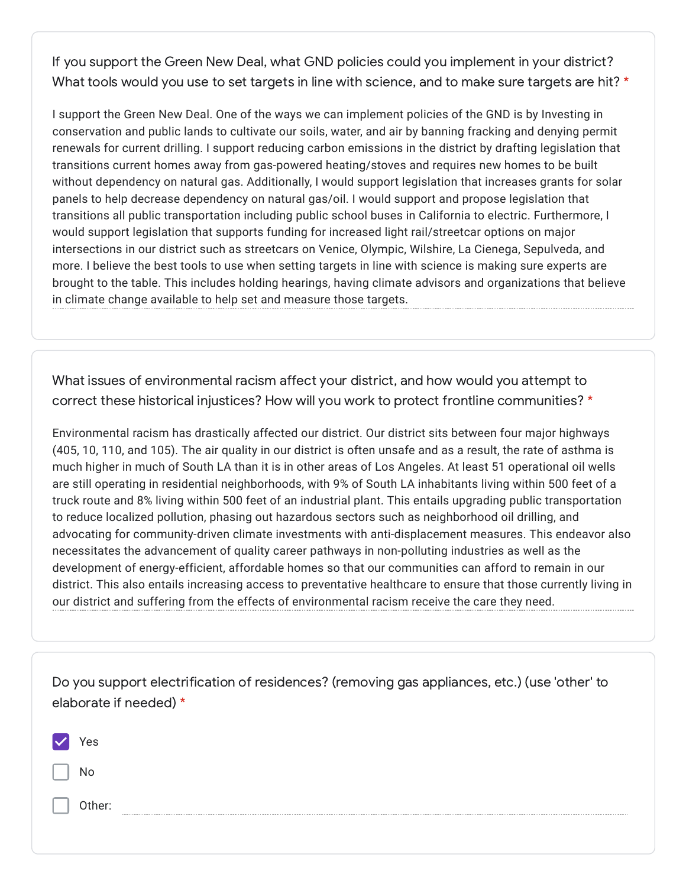If you support the Green New Deal, what GND policies could you implement in your district? What tools would you use to set targets in line with science, and to make sure targets are hit? \*

I support the Green New Deal. One of the ways we can implement policies of the GND is by Investing in conservation and public lands to cultivate our soils, water, and air by banning fracking and denying permit renewals for current drilling. I support reducing carbon emissions in the district by drafting legislation that transitions current homes away from gas-powered heating/stoves and requires new homes to be built without dependency on natural gas. Additionally, I would support legislation that increases grants for solar panels to help decrease dependency on natural gas/oil. I would support and propose legislation that transitions all public transportation including public school buses in California to electric. Furthermore, I would support legislation that supports funding for increased light rail/streetcar options on major intersections in our district such as streetcars on Venice, Olympic, Wilshire, La Cienega, Sepulveda, and more. I believe the best tools to use when setting targets in line with science is making sure experts are brought to the table. This includes holding hearings, having climate advisors and organizations that believe in climate change available to help set and measure those targets.

What issues of environmental racism affect your district, and how would you attempt to correct these historical injustices? How will you work to protect frontline communities? \*

Environmental racism has drastically affected our district. Our district sits between four major highways (405, 10, 110, and 105). The air quality in our district is often unsafe and as a result, the rate of asthma is much higher in much of South LA than it is in other areas of Los Angeles. At least 51 operational oil wells are still operating in residential neighborhoods, with 9% of South LA inhabitants living within 500 feet of a truck route and 8% living within 500 feet of an industrial plant. This entails upgrading public transportation to reduce localized pollution, phasing out hazardous sectors such as neighborhood oil drilling, and advocating for community-driven climate investments with anti-displacement measures. This endeavor also necessitates the advancement of quality career pathways in non-polluting industries as well as the development of energy-efficient, affordable homes so that our communities can afford to remain in our district. This also entails increasing access to preventative healthcare to ensure that those currently living in our district and suffering from the effects of environmental racism receive the care they need.

|        | Do you support electrification of residences? (removing gas appliances, etc.) (use 'other' to |
|--------|-----------------------------------------------------------------------------------------------|
|        | elaborate if needed) *                                                                        |
|        |                                                                                               |
| 'es    |                                                                                               |
| No     |                                                                                               |
| Other: |                                                                                               |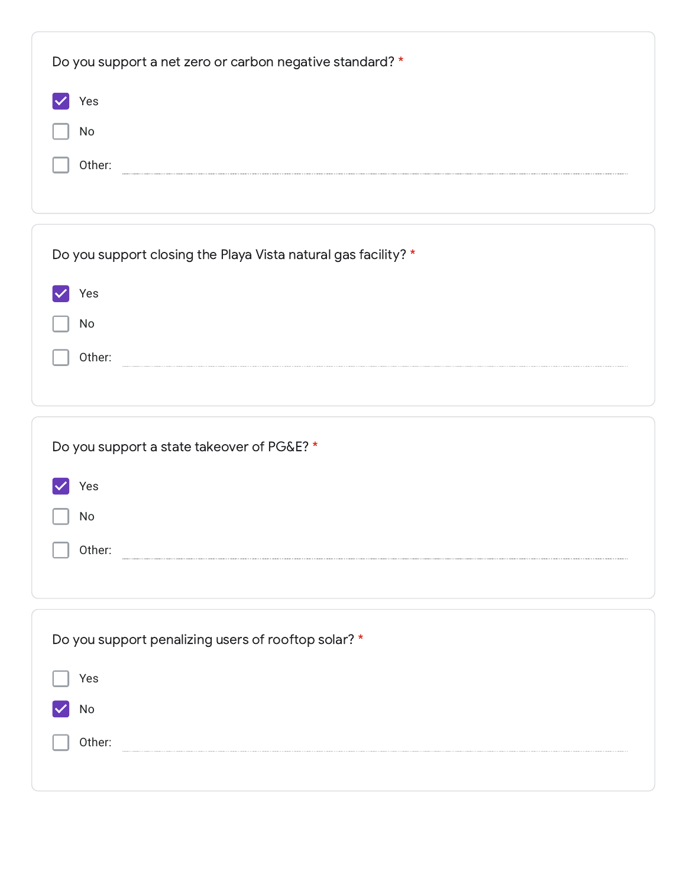| Do you support a net zero or carbon negative standard? *       |
|----------------------------------------------------------------|
| Yes                                                            |
| No                                                             |
| Other:                                                         |
|                                                                |
|                                                                |
| Do you support closing the Playa Vista natural gas facility? * |
| Yes                                                            |
| No                                                             |
| Other:                                                         |
|                                                                |
|                                                                |
| Do you support a state takeover of PG&E? *                     |
|                                                                |
| Yes                                                            |
| No                                                             |
|                                                                |
| Other:                                                         |
|                                                                |
|                                                                |
| Do you support penalizing users of rooftop solar? *            |
| Yes                                                            |
| No                                                             |
| Other:                                                         |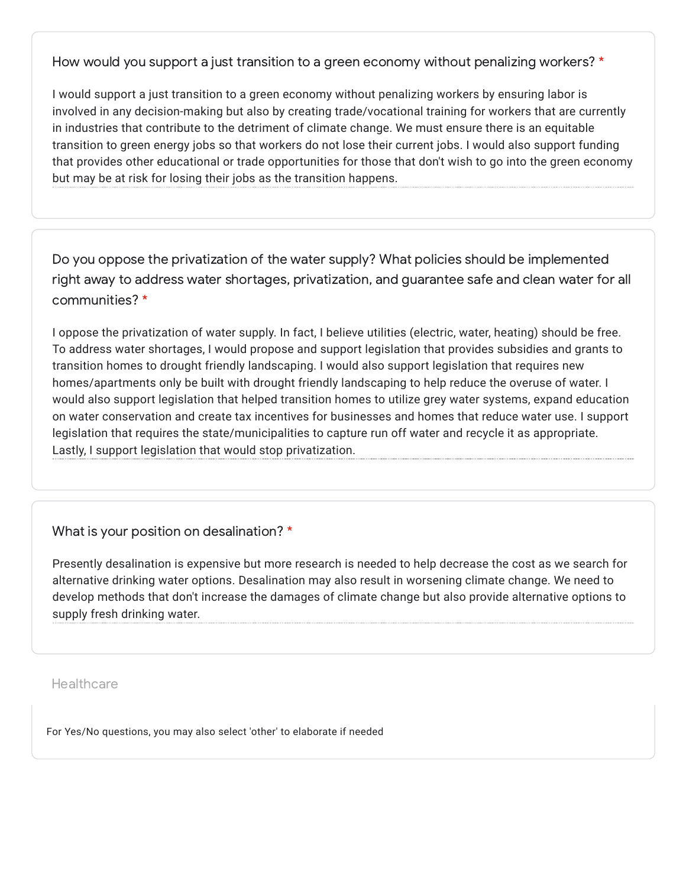How would you support a just transition to a green economy without penalizing workers? \*

I would support a just transition to a green economy without penalizing workers by ensuring labor is involved in any decision-making but also by creating trade/vocational training for workers that are currently in industries that contribute to the detriment of climate change. We must ensure there is an equitable transition to green energy jobs so that workers do not lose their current jobs. I would also support funding that provides other educational or trade opportunities for those that don't wish to go into the green economy but may be at risk for losing their jobs as the transition happens.

Do you oppose the privatization of the water supply? What policies should be implemented right away to address water shortages, privatization, and guarantee safe and clean water for all communities? \*

I oppose the privatization of water supply. In fact, I believe utilities (electric, water, heating) should be free. To address water shortages, I would propose and support legislation that provides subsidies and grants to transition homes to drought friendly landscaping. I would also support legislation that requires new homes/apartments only be built with drought friendly landscaping to help reduce the overuse of water. I would also support legislation that helped transition homes to utilize grey water systems, expand education on water conservation and create tax incentives for businesses and homes that reduce water use. I support legislation that requires the state/municipalities to capture run off water and recycle it as appropriate. Lastly, I support legislation that would stop privatization.

What is your position on desalination? \*

Presently desalination is expensive but more research is needed to help decrease the cost as we search for alternative drinking water options. Desalination may also result in worsening climate change. We need to develop methods that don't increase the damages of climate change but also provide alternative options to supply fresh drinking water.

**Healthcare** 

For Yes/No questions, you may also select 'other' to elaborate if needed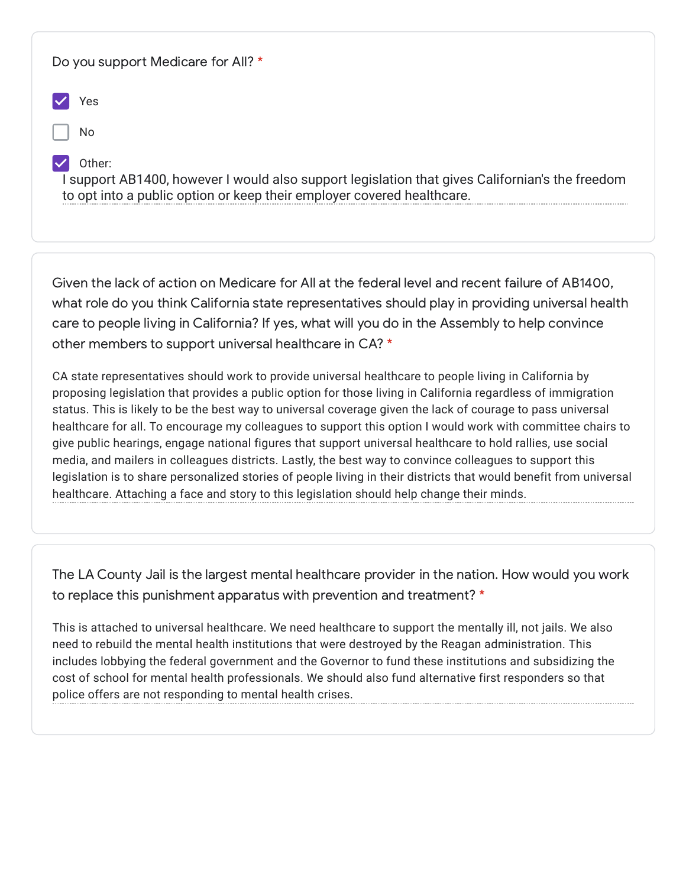| Do you support Medicare for All? *                                                                                                                                                  |
|-------------------------------------------------------------------------------------------------------------------------------------------------------------------------------------|
| Yes                                                                                                                                                                                 |
| No                                                                                                                                                                                  |
| Other:<br>I support AB1400, however I would also support legislation that gives Californian's the freedom<br>to opt into a public option or keep their employer covered healthcare. |

Given the lack of action on Medicare for All at the federal level and recent failure of AB1400, what role do you think California state representatives should play in providing universal health care to people living in California? If yes, what will you do in the Assembly to help convince other members to support universal healthcare in CA? \*

CA state representatives should work to provide universal healthcare to people living in California by proposing legislation that provides a public option for those living in California regardless of immigration status. This is likely to be the best way to universal coverage given the lack of courage to pass universal healthcare for all. To encourage my colleagues to support this option I would work with committee chairs to give public hearings, engage national figures that support universal healthcare to hold rallies, use social media, and mailers in colleagues districts. Lastly, the best way to convince colleagues to support this legislation is to share personalized stories of people living in their districts that would benefit from universal healthcare. Attaching a face and story to this legislation should help change their minds.

The LA County Jail is the largest mental healthcare provider in the nation. How would you work to replace this punishment apparatus with prevention and treatment? \*

This is attached to universal healthcare. We need healthcare to support the mentally ill, not jails. We also need to rebuild the mental health institutions that were destroyed by the Reagan administration. This includes lobbying the federal government and the Governor to fund these institutions and subsidizing the cost of school for mental health professionals. We should also fund alternative first responders so that police offers are not responding to mental health crises.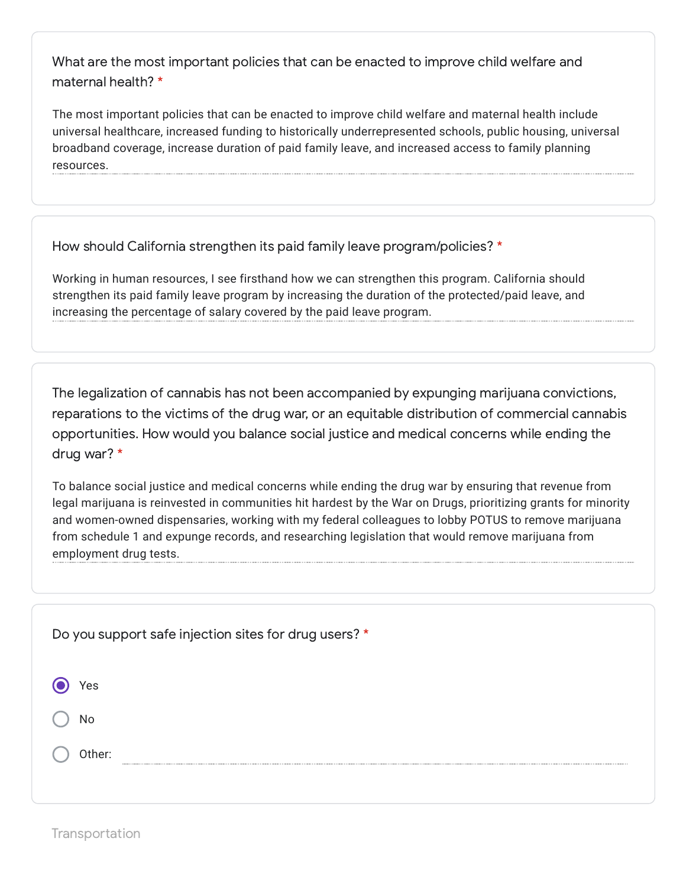What are the most important policies that can be enacted to improve child welfare and maternal health? \*

The most important policies that can be enacted to improve child welfare and maternal health include universal healthcare, increased funding to historically underrepresented schools, public housing, universal broadband coverage, increase duration of paid family leave, and increased access to family planning resources.

How should California strengthen its paid family leave program/policies? \*

Working in human resources, I see firsthand how we can strengthen this program. California should strengthen its paid family leave program by increasing the duration of the protected/paid leave, and increasing the percentage of salary covered by the paid leave program.

The legalization of cannabis has not been accompanied by expunging marijuana convictions, reparations to the victims of the drug war, or an equitable distribution of commercial cannabis opportunities. How would you balance social justice and medical concerns while ending the drug war? \*

To balance social justice and medical concerns while ending the drug war by ensuring that revenue from legal marijuana is reinvested in communities hit hardest by the War on Drugs, prioritizing grants for minority and women-owned dispensaries, working with my federal colleagues to lobby POTUS to remove marijuana from schedule 1 and expunge records, and researching legislation that would remove marijuana from employment drug tests.

| Do you support safe injection sites for drug users? * |
|-------------------------------------------------------|
| Yes                                                   |
| No                                                    |
| Other:                                                |
|                                                       |

Transportation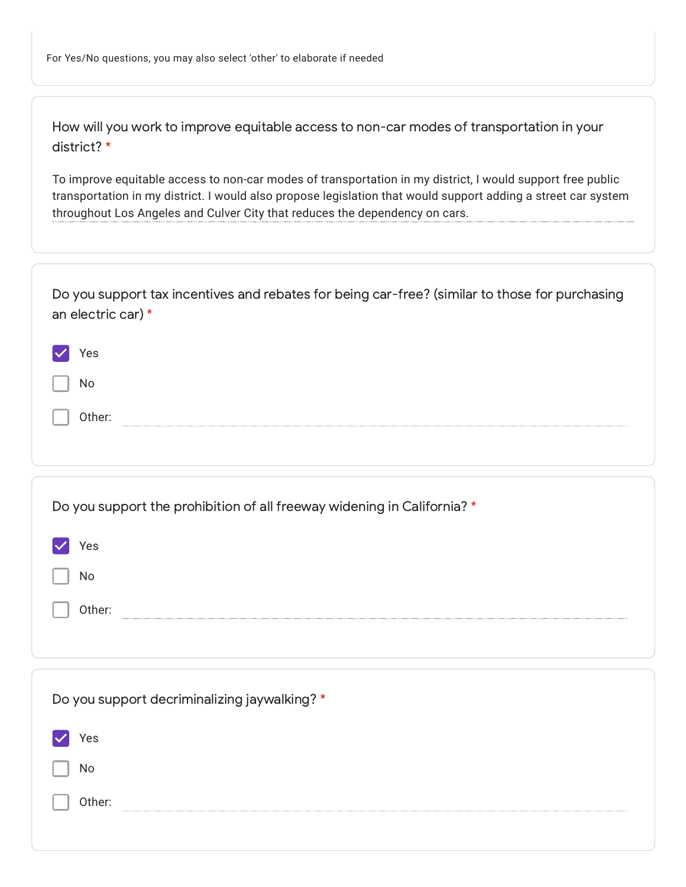How will you work to improve equitable access to non-car modes of transportation in your district? \*

To improve equitable access to non-car modes of transportation in my district, I would support free public transportation in my district. I would also propose legislation that would support adding a street car system throughout Los Angeles and Culver City that reduces the dependency on cars.

| Do you support tax incentives and rebates for being car-free? (similar to those for purchasing<br>an electric car) * |
|----------------------------------------------------------------------------------------------------------------------|
| Yes                                                                                                                  |
| No                                                                                                                   |
| Other:                                                                                                               |
|                                                                                                                      |
| Do you support the prohibition of all freeway widening in California? *                                              |
| Yes                                                                                                                  |
| No                                                                                                                   |
| Other:                                                                                                               |
|                                                                                                                      |
| Do you support decriminalizing jaywalking? *                                                                         |
| Yes                                                                                                                  |
| No                                                                                                                   |
| Other:                                                                                                               |
|                                                                                                                      |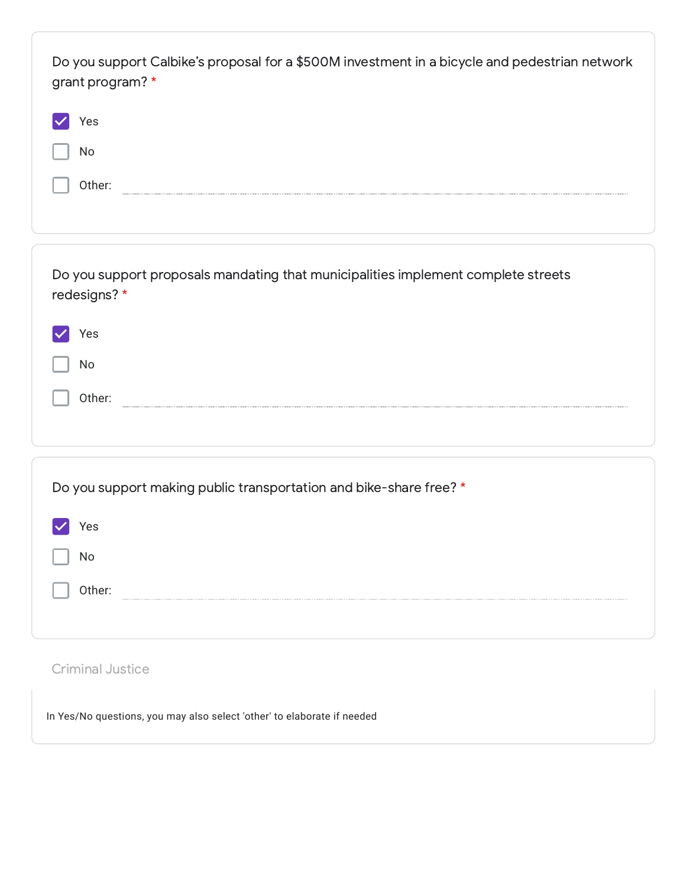| Do you support Calbike's proposal for a \$500M investment in a bicycle and pedestrian network<br>grant program? * |  |
|-------------------------------------------------------------------------------------------------------------------|--|
| Yes                                                                                                               |  |
| No                                                                                                                |  |
| Other:                                                                                                            |  |
|                                                                                                                   |  |
|                                                                                                                   |  |
| Do you support proposals mandating that municipalities implement complete streets<br>redesigns?*                  |  |
| Yes                                                                                                               |  |
| No                                                                                                                |  |
| Other:                                                                                                            |  |
|                                                                                                                   |  |
|                                                                                                                   |  |
| Do you support making public transportation and bike-share free? *                                                |  |
| Yes                                                                                                               |  |
| No                                                                                                                |  |
| Other:                                                                                                            |  |
|                                                                                                                   |  |

## Criminal Justice

In Yes/No questions, you may also select 'other' to elaborate if needed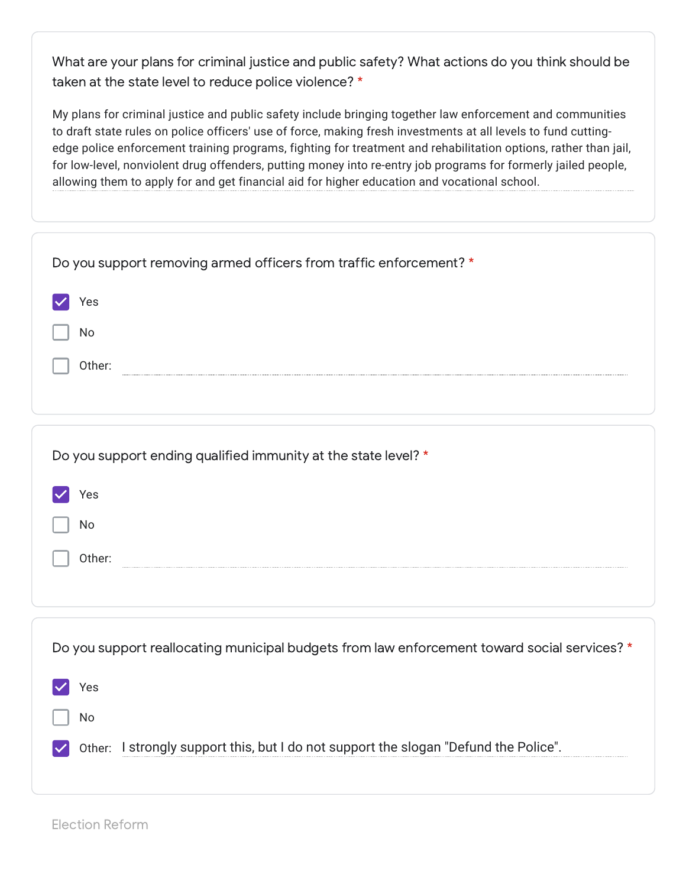What are your plans for criminal justice and public safety? What actions do you think should be taken at the state level to reduce police violence? \*

My plans for criminal justice and public safety include bringing together law enforcement and communities to draft state rules on police officers' use of force, making fresh investments at all levels to fund cuttingedge police enforcement training programs, fighting for treatment and rehabilitation options, rather than jail, for low-level, nonviolent drug offenders, putting money into re-entry job programs for formerly jailed people, allowing them to apply for and get financial aid for higher education and vocational school.

| Do you support removing armed officers from traffic enforcement? *                           |
|----------------------------------------------------------------------------------------------|
| Yes                                                                                          |
| No                                                                                           |
| Other:                                                                                       |
|                                                                                              |
| Do you support ending qualified immunity at the state level? *                               |
| Yes                                                                                          |
| No                                                                                           |
| Other:                                                                                       |
|                                                                                              |
| Do you support reallocating municipal budgets from law enforcement toward social services? * |
| Yes                                                                                          |
| No                                                                                           |
| Other: I strongly support this, but I do not support the slogan "Defund the Police".         |
|                                                                                              |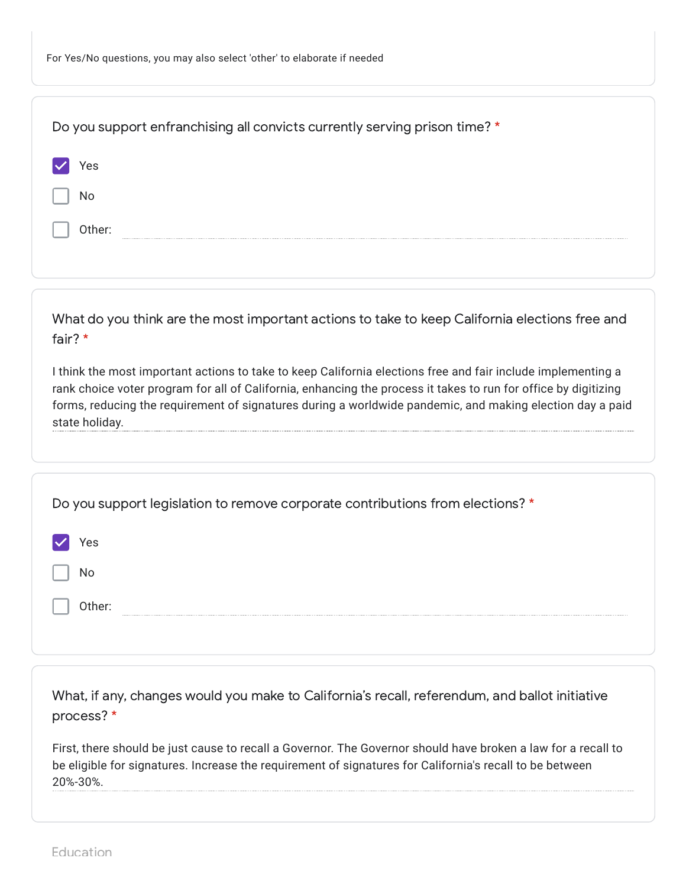| Do you support enfranchising all convicts currently serving prison time? *                                                                                                                                                                                                                                                                                     |
|----------------------------------------------------------------------------------------------------------------------------------------------------------------------------------------------------------------------------------------------------------------------------------------------------------------------------------------------------------------|
| Yes                                                                                                                                                                                                                                                                                                                                                            |
| No                                                                                                                                                                                                                                                                                                                                                             |
| Other:                                                                                                                                                                                                                                                                                                                                                         |
|                                                                                                                                                                                                                                                                                                                                                                |
| What do you think are the most important actions to take to keep California elections free and<br>fair? *                                                                                                                                                                                                                                                      |
| I think the most important actions to take to keep California elections free and fair include implementing a<br>rank choice voter program for all of California, enhancing the process it takes to run for office by digitizing<br>forms, reducing the requirement of signatures during a worldwide pandemic, and making election day a paid<br>state holiday. |
|                                                                                                                                                                                                                                                                                                                                                                |
| Do you support legislation to remove corporate contributions from elections? *                                                                                                                                                                                                                                                                                 |
| Yes                                                                                                                                                                                                                                                                                                                                                            |
| No                                                                                                                                                                                                                                                                                                                                                             |
| Other:                                                                                                                                                                                                                                                                                                                                                         |
|                                                                                                                                                                                                                                                                                                                                                                |
| What, if any, changes would you make to California's recall, referendum, and ballot initiative<br>process? *                                                                                                                                                                                                                                                   |

First, there should be just cause to recall a Governor. The Governor should have broken a law for a recall to be eligible for signatures. Increase the requirement of signatures for California's recall to be between 20%-30%.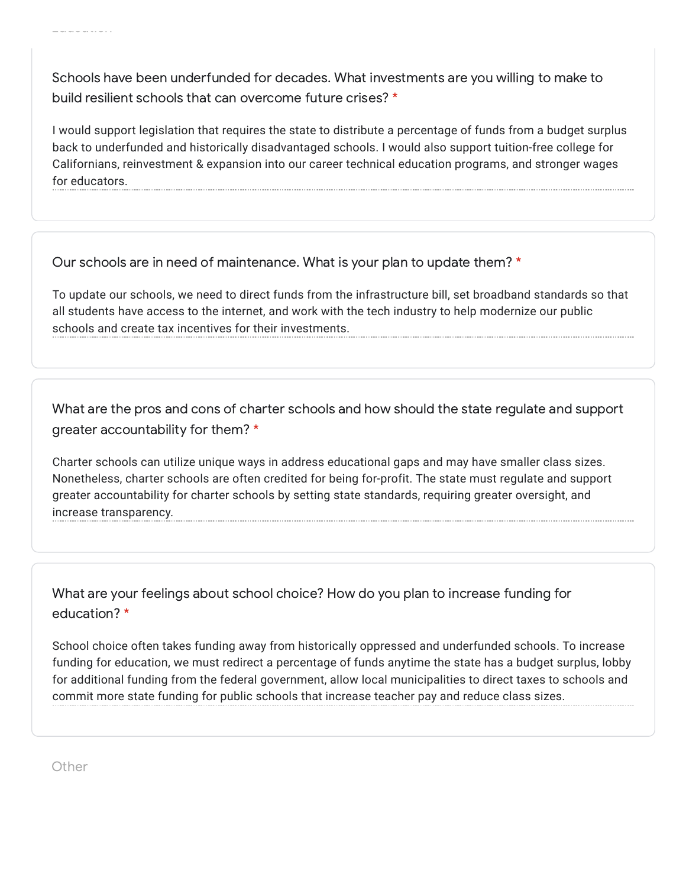Schools have been underfunded for decades. What investments are you willing to make to build resilient schools that can overcome future crises? \*

I would support legislation that requires the state to distribute a percentage of funds from a budget surplus back to underfunded and historically disadvantaged schools. I would also support tuition-free college for Californians, reinvestment & expansion into our career technical education programs, and stronger wages for educators.

Our schools are in need of maintenance. What is your plan to update them? \*

To update our schools, we need to direct funds from the infrastructure bill, set broadband standards so that all students have access to the internet, and work with the tech industry to help modernize our public schools and create tax incentives for their investments.

What are the pros and cons of charter schools and how should the state regulate and support greater accountability for them? \*

Charter schools can utilize unique ways in address educational gaps and may have smaller class sizes. Nonetheless, charter schools are often credited for being for-profit. The state must regulate and support greater accountability for charter schools by setting state standards, requiring greater oversight, and increase transparency.

What are your feelings about school choice? How do you plan to increase funding for education? \*

School choice often takes funding away from historically oppressed and underfunded schools. To increase funding for education, we must redirect a percentage of funds anytime the state has a budget surplus, lobby for additional funding from the federal government, allow local municipalities to direct taxes to schools and commit more state funding for public schools that increase teacher pay and reduce class sizes.

Other